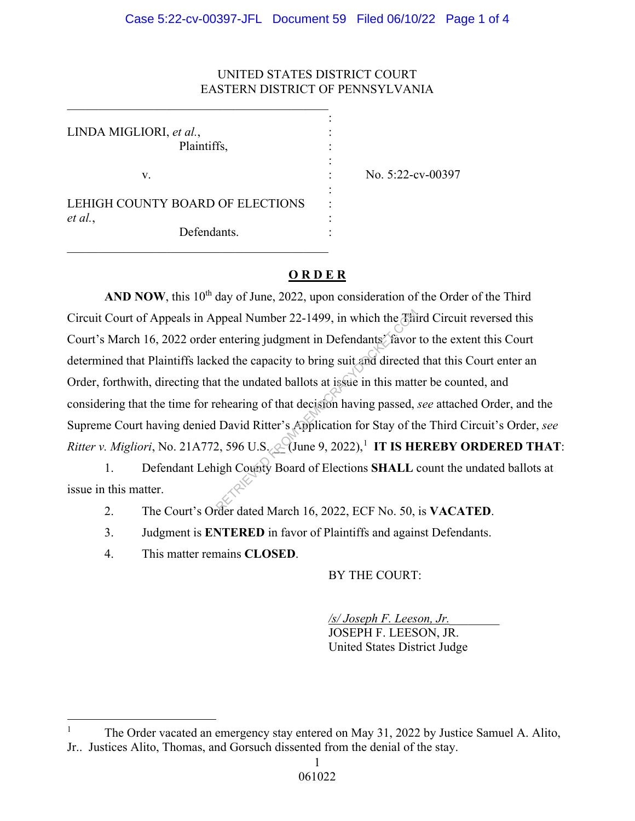## UNITED STATES DISTRICT COURT EASTERN DISTRICT OF PENNSYLVANIA

LINDA MIGLIORI, et al., Plaintiffs,

v. No. 5:22-cv-00397

LEHIGH COUNTY BOARD OF ELECTIONS *et al.*, :

 $\_$  . The contribution of the contribution of  $\mathcal{L}_\mathcal{L}$ the contract of the contract of the contract of the contract of the contract of

the contract of the contract of the contract of the contract of the contract of

the contract of the contract of the contract of the contract of the contract of

 $\_$  . The contribution of the contribution of  $\mathcal{L}_\mathcal{L}$ 

Defendants.

## **O R D E R**

AND NOW, this 10<sup>th</sup> day of June, 2022, upon consideration of the Order of the Third Circuit Court of Appeals in Appeal Number 22-1499, in which the Third Circuit reversed this Court's March 16, 2022 order entering judgment in Defendants' favor to the extent this Court determined that Plaintiffs lacked the capacity to bring suit and directed that this Court enter an Order, forthwith, directing that the undated ballots at issue in this matter be counted, and considering that the time for rehearing of that decision having passed, *see* attached Order, and the Supreme Court having denied David Ritter's Application for Stay of the Third Circuit's Order, *see Ritter v. Migliori*, No. 21A772, 596 U.S.  $\&$  (June 9, 2022),<sup>1</sup> IT IS HEREBY ORDERED THAT: ppeal Number 22-1499, in which the This<br>
entering judgment in Defendants<sup>3</sup> favor<br>
red the capacity to bring suit and directed<br>
at the undated ballots at issue in this matte<br>
ehearing of that decision having passed,<br>
Davi

 1. Defendant Lehigh County Board of Elections **SHALL** count the undated ballots at issue in this matter.

2. The Court's Order dated March 16, 2022, ECF No. 50, is **VACATED**.

3. Judgment is **ENTERED** in favor of Plaintiffs and against Defendants.

4. This matter remains **CLOSED**.

BY THE COURT:

*/s/ Joseph F. Leeson, Jr.*\_\_\_\_\_\_\_\_

JOSEPH F. LEESON, JR. United States District Judge

<sup>1</sup> The Order vacated an emergency stay entered on May 31, 2022 by Justice Samuel A. Alito, Jr.. Justices Alito, Thomas, and Gorsuch dissented from the denial of the stay.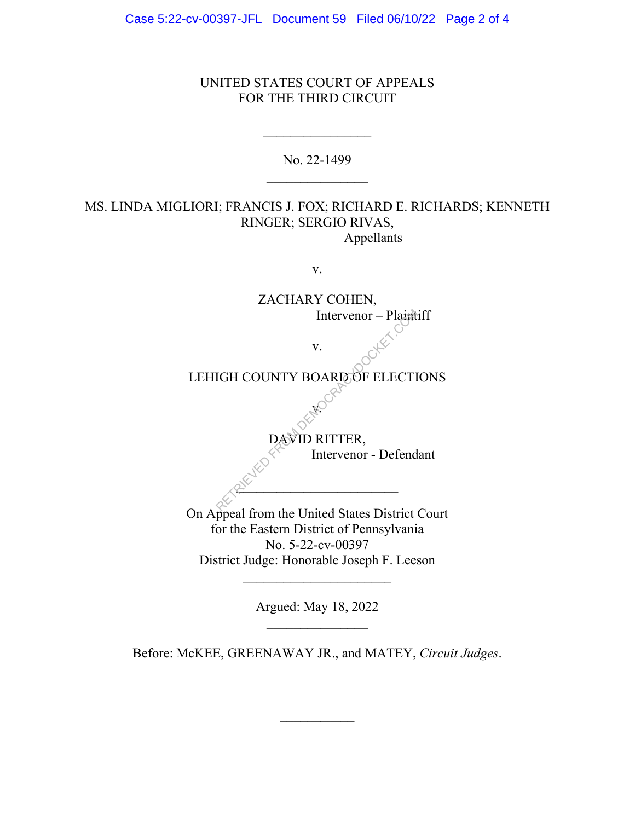Case 5:22-cv-00397-JFL Document 59 Filed 06/10/22 Page 2 of 4

#### UNITED STATES COURT OF APPEALS FOR THE THIRD CIRCUIT

No. 22-1499

# MS. LINDA MIGLIORI; FRANCIS J. FOX; RICHARD E. RICHARDS; KENNETH RINGER; SERGIO RIVAS, Appellants

v.

ZACHARY COHEN, Intervenor – Plaintiff v. LEHIGH COUNTY BOARD OF ELECTIONS v. DAVID RITTER, Intervenor - Defendant  $2^{\mathcal{N}}$ On Appeal from the United States District Court for the Eastern District of Pennsylvania No. 5-22-cv-00397 District Judge: Honorable Joseph F. Leeson Intervenor – Plaint

Argued: May 18, 2022

 $\overline{\phantom{a}}$  , where  $\overline{\phantom{a}}$ 

Before: McKEE, GREENAWAY JR., and MATEY, *Circuit Judges*.

 $\mathcal{L}_\text{max}$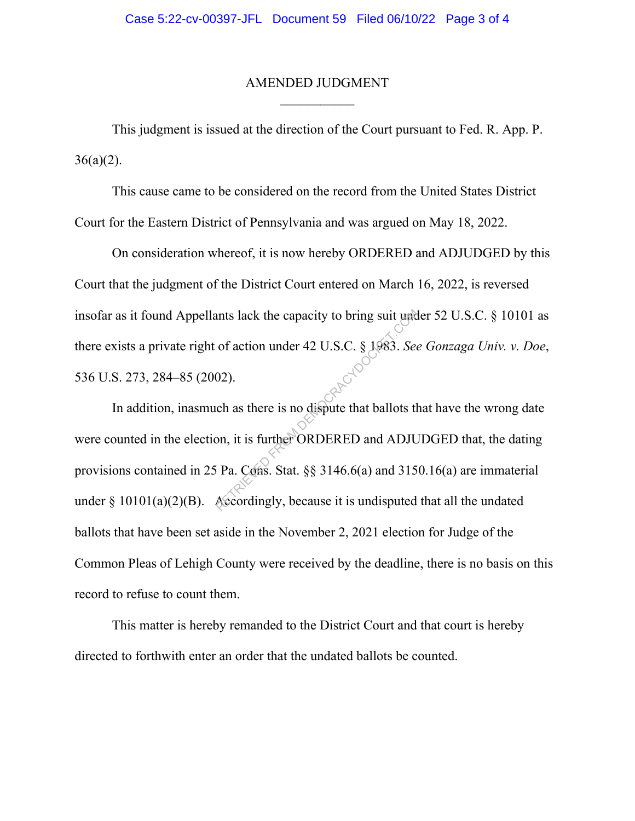#### AMENDED JUDGMENT

This judgment is issued at the direction of the Court pursuant to Fed. R. App. P.  $36(a)(2)$ .

This cause came to be considered on the record from the United States District Court for the Eastern District of Pennsylvania and was argued on May 18, 2022.

On consideration whereof, it is now hereby ORDERED and ADJUDGED by this Court that the judgment of the District Court entered on March 16, 2022, is reversed insofar as it found Appellants lack the capacity to bring suit under 52 U.S.C. § 10101 as there exists a private right of action under 42 U.S.C. § 1983. *See Gonzaga Univ. v. Doe*, 536 U.S. 273, 284–85 (2002).

In addition, inasmuch as there is no dispute that ballots that have the wrong date were counted in the election, it is further ORDERED and ADJUDGED that, the dating provisions contained in 25 Pa. Cons. Stat. §§ 3146.6(a) and 3150.16(a) are immaterial under  $\S 10101(a)(2)(B)$ . Accordingly, because it is undisputed that all the undated ballots that have been set aside in the November 2, 2021 election for Judge of the Common Pleas of Lehigh County were received by the deadline, there is no basis on this record to refuse to count them. FROM THE RETRIEVED AND THE RETRIEVED AND THE RETRIEVED AS A SEA As there is no dispute that ballots that ballots that is further ORDERED and ADJU<br>SPACERACY PROPERT COMPANY COMPANY COMPANY PA. COMPANY COMPANY COMPANY COMPA

This matter is hereby remanded to the District Court and that court is hereby directed to forthwith enter an order that the undated ballots be counted.